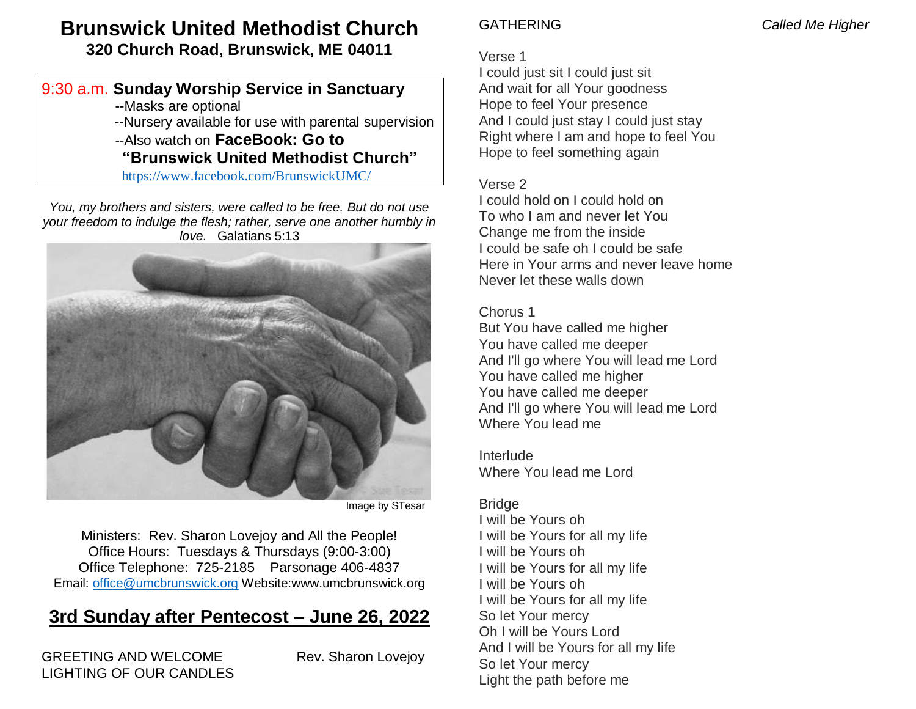# **Brunswick United Methodist Church 320 Church Road, Brunswick, ME 04011**

## 9:30 a.m. **Sunday Worship Service in Sanctuary**

--Masks are optional

--Nursery available for use with parental supervision

 --Also watch on **FaceBook: Go to "Brunswick United Methodist Church"** <https://www.facebook.com/BrunswickUMC/>

*You, my brothers and sisters, were called to be free. But do not use your freedom to indulge the flesh; rather, serve one another humbly in love.* Galatians 5:13



Image by STesar

Ministers: Rev. Sharon Lovejoy and All the People! Office Hours: Tuesdays & Thursdays (9:00-3:00) Office Telephone: 725-2185 Parsonage 406-4837 Email: [office@umcbrunswick.org](mailto:office@umcbrunswick.org) Website:www.umcbrunswick.org

# **3rd Sunday after Pentecost – June 26, 2022**

GREETING AND WELCOME Rev. Sharon Lovejoy LIGHTING OF OUR CANDLES

## Verse 1

I could just sit I could just sit And wait for all Your goodness Hope to feel Your presence And I could just stay I could just stay Right where I am and hope to feel You Hope to feel something again

## Verse 2

I could hold on I could hold on To who I am and never let You Change me from the inside I could be safe oh I could be safe Here in Your arms and never leave home Never let these walls down

## Chorus 1

But You have called me higher You have called me deeper And I'll go where You will lead me Lord You have called me higher You have called me deeper And I'll go where You will lead me Lord Where You lead me

Interlude Where You lead me Lord

## **Bridge**

I will be Yours oh I will be Yours for all my life I will be Yours oh I will be Yours for all my life I will be Yours oh I will be Yours for all my life So let Your mercy Oh I will be Yours Lord And I will be Yours for all my life So let Your mercy Light the path before me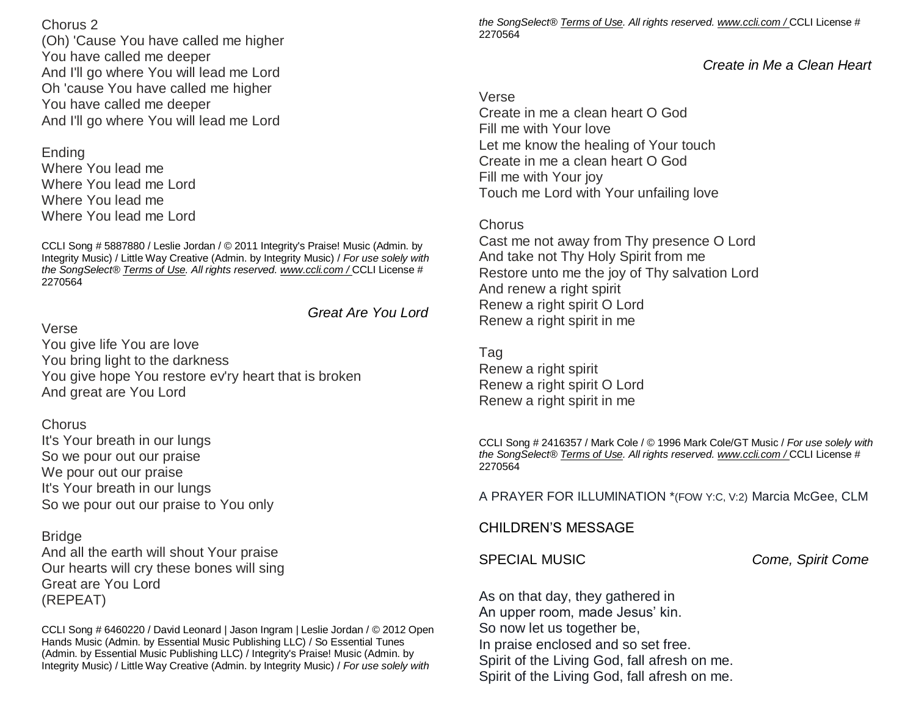## Chorus 2

(Oh) 'Cause You have called me higher You have called me deeper And I'll go where You will lead me Lord Oh 'cause You have called me higher You have called me deeper And I'll go where You will lead me Lord

## Ending

Where You lead me Where You lead me Lord Where You lead me Where You lead me Lord

CCLI Song # 5887880 / Leslie Jordan / © 2011 Integrity's Praise! Music (Admin. by Integrity Music) / Little Way Creative (Admin. by Integrity Music) / *For use solely with the SongSelect® [Terms of Use.](https://songselect.ccli.com/about/termsofuse) All rights reserved. [www.ccli.com](http://www.ccli.com/) /* CCLI License # 2270564

## *Great Are You Lord*

#### Verse

You give life You are love You bring light to the darkness You give hope You restore ev'ry heart that is broken And great are You Lord

## **Chorus**

It's Your breath in our lungs So we pour out our praise We pour out our praise It's Your breath in our lungs So we pour out our praise to You only

## **Bridge**

And all the earth will shout Your praise Our hearts will cry these bones will sing Great are You Lord (REPEAT)

CCLI Song # 6460220 / David Leonard | Jason Ingram | Leslie Jordan / © 2012 Open Hands Music (Admin. by Essential Music Publishing LLC) / So Essential Tunes (Admin. by Essential Music Publishing LLC) / Integrity's Praise! Music (Admin. by Integrity Music) / Little Way Creative (Admin. by Integrity Music) / *For use solely with* 

*the SongSelect® [Terms of Use.](https://songselect.ccli.com/about/termsofuse) All rights reserved. [www.ccli.com](http://www.ccli.com/) /* CCLI License # 2270564

## *Create in Me a Clean Heart*

Verse

Create in me a clean heart O God Fill me with Your love Let me know the healing of Your touch Create in me a clean heart O God Fill me with Your joy Touch me Lord with Your unfailing love

## **Chorus**

Cast me not away from Thy presence O Lord And take not Thy Holy Spirit from me Restore unto me the joy of Thy salvation Lord And renew a right spirit Renew a right spirit O Lord Renew a right spirit in me

Tag

Renew a right spirit Renew a right spirit O Lord Renew a right spirit in me

CCLI Song # 2416357 / Mark Cole / © 1996 Mark Cole/GT Music / *For use solely with the SongSelect® [Terms of Use.](https://songselect.ccli.com/about/termsofuse) All rights reserved. [www.ccli.com](http://www.ccli.com/) /* CCLI License # 2270564

A PRAYER FOR ILLUMINATION \*(FOW Y:C, V:2) Marcia McGee, CLM

## CHILDREN'S MESSAGE

SPECIAL MUSIC *Come, Spirit Come* 

As on that day, they gathered in An upper room, made Jesus' kin. So now let us together be, In praise enclosed and so set free. Spirit of the Living God, fall afresh on me. Spirit of the Living God, fall afresh on me.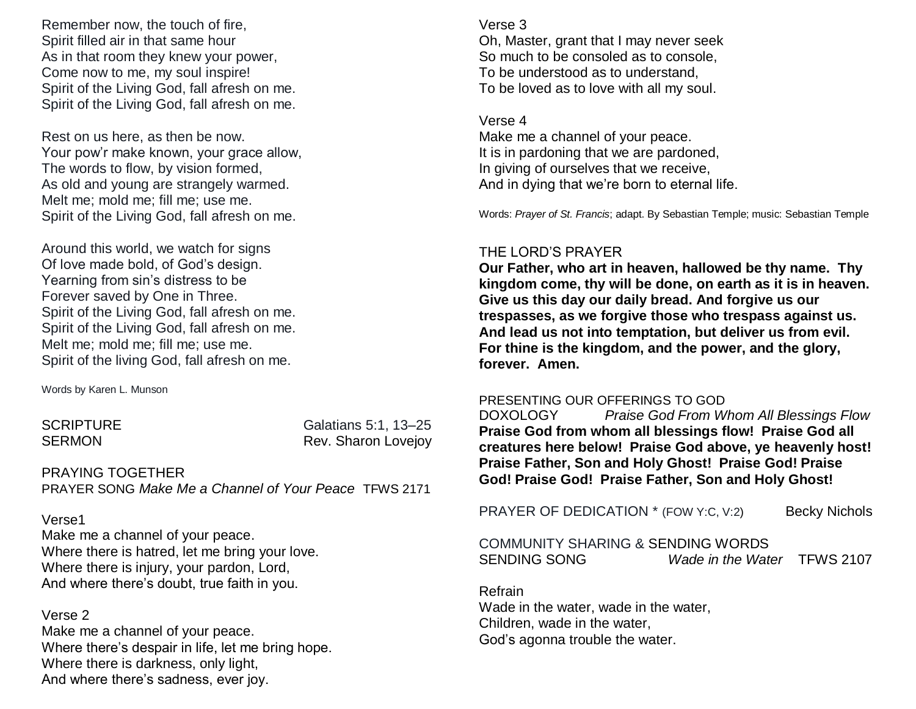Remember now, the touch of fire, Spirit filled air in that same hour As in that room they knew your power, Come now to me, my soul inspire! Spirit of the Living God, fall afresh on me. Spirit of the Living God, fall afresh on me.

Rest on us here, as then be now. Your pow'r make known, your grace allow, The words to flow, by vision formed, As old and young are strangely warmed. Melt me; mold me; fill me; use me. Spirit of the Living God, fall afresh on me.

Around this world, we watch for signs Of love made bold, of God's design. Yearning from sin's distress to be Forever saved by One in Three. Spirit of the Living God, fall afresh on me. Spirit of the Living God, fall afresh on me. Melt me; mold me; fill me; use me. Spirit of the living God, fall afresh on me.

Words by Karen L. Munson

SCRIPTURE Galatians 5:1, 13–25<br>SERMON Rev. Sharon Loveiov Rev. Sharon Lovejov

PRAYING TOGETHER PRAYER SONG *Make Me a Channel of Your Peace* TFWS 2171

## Verse1

Make me a channel of your peace. Where there is hatred, let me bring your love. Where there is injury, your pardon, Lord, And where there's doubt, true faith in you.

Verse 2 Make me a channel of your peace. Where there's despair in life, let me bring hope. Where there is darkness, only light, And where there's sadness, ever joy.

## Verse 3 Oh, Master, grant that I may never seek So much to be consoled as to console,

To be understood as to understand, To be loved as to love with all my soul.

## Verse 4

Make me a channel of your peace. It is in pardoning that we are pardoned, In giving of ourselves that we receive, And in dying that we're born to eternal life.

Words: *Prayer of St. Francis*; adapt. By Sebastian Temple; music: Sebastian Temple

## THE LORD'S PRAYER

**Our Father, who art in heaven, hallowed be thy name. Thy kingdom come, thy will be done, on earth as it is in heaven. Give us this day our daily bread. And forgive us our trespasses, as we forgive those who trespass against us. And lead us not into temptation, but deliver us from evil. For thine is the kingdom, and the power, and the glory, forever. Amen.**

#### PRESENTING OUR OFFERINGS TO GOD

DOXOLOGY *Praise God From Whom All Blessings Flow* **Praise God from whom all blessings flow! Praise God all creatures here below! Praise God above, ye heavenly host! Praise Father, Son and Holy Ghost! Praise God! Praise God! Praise God! Praise Father, Son and Holy Ghost!**

PRAYER OF DEDICATION \* (FOW Y:C, V:2) Becky Nichols

COMMUNITY SHARING & SENDING WORDS SENDING SONG *Wade in the Water* TFWS 2107

Refrain Wade in the water, wade in the water, Children, wade in the water, God's agonna trouble the water.